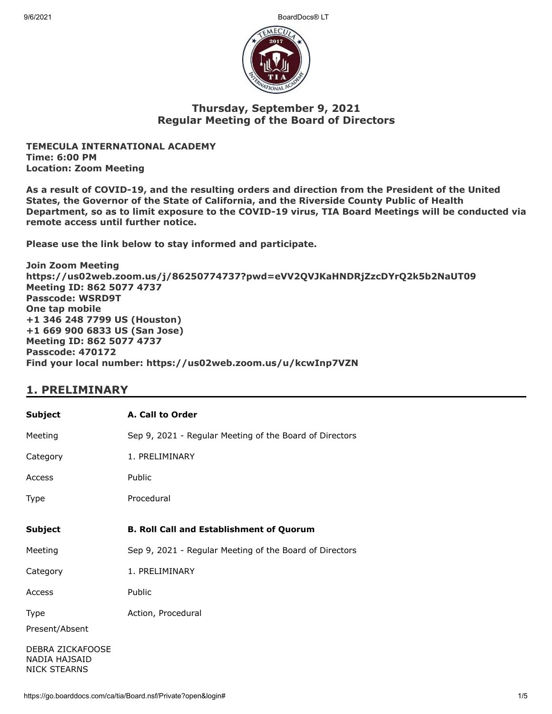9/6/2021 BoardDocs® LT



## **Thursday, September 9, 2021 Regular Meeting of the Board of Directors**

**TEMECULA INTERNATIONAL ACADEMY Time: 6:00 PM Location: Zoom Meeting**

**As a result of COVID-19, and the resulting orders and direction from the President of the United States, the Governor of the State of California, and the Riverside County Public of Health Department, so as to limit exposure to the COVID-19 virus, TIA Board Meetings will be conducted via remote access until further notice.**

**Please use the link below to stay informed and participate.** 

**Join Zoom Meeting https://us02web.zoom.us/j/86250774737?pwd=eVV2QVJKaHNDRjZzcDYrQ2k5b2NaUT09 Meeting ID: 862 5077 4737 Passcode: WSRD9T One tap mobile +1 346 248 7799 US (Houston) +1 669 900 6833 US (San Jose) Meeting ID: 862 5077 4737 Passcode: 470172 Find your local number: https://us02web.zoom.us/u/kcwInp7VZN**

# **1. PRELIMINARY**

| <b>Subject</b>                                           | A. Call to Order                                        |
|----------------------------------------------------------|---------------------------------------------------------|
| Meeting                                                  | Sep 9, 2021 - Regular Meeting of the Board of Directors |
| Category                                                 | 1. PRELIMINARY                                          |
| Access                                                   | Public                                                  |
| Type                                                     | Procedural                                              |
| <b>Subject</b>                                           | <b>B. Roll Call and Establishment of Quorum</b>         |
| Meeting                                                  | Sep 9, 2021 - Regular Meeting of the Board of Directors |
| Category                                                 | 1. PRELIMINARY                                          |
| Access                                                   | Public                                                  |
| Type                                                     | Action, Procedural                                      |
| Present/Absent                                           |                                                         |
| DEBRA ZICKAFOOSE<br>NADIA HAJSAID<br><b>NICK STEARNS</b> |                                                         |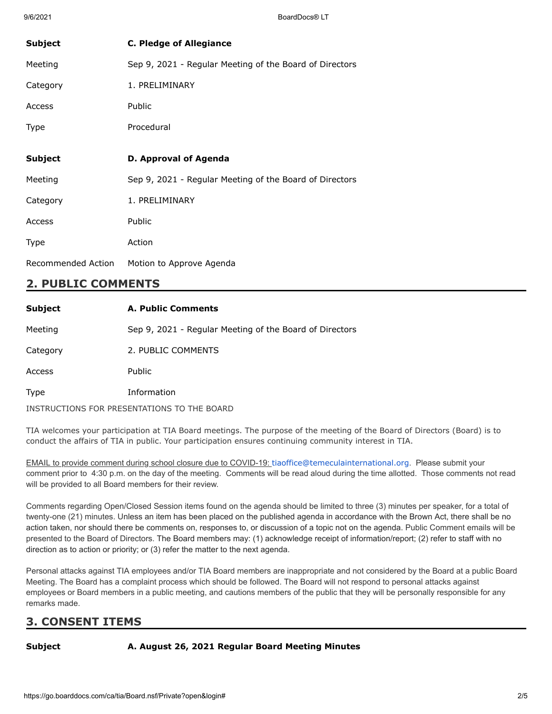| <b>Subject</b> | <b>C. Pledge of Allegiance</b>                          |
|----------------|---------------------------------------------------------|
| Meeting        | Sep 9, 2021 - Regular Meeting of the Board of Directors |
| Category       | 1. PRELIMINARY                                          |
| Access         | Public                                                  |
| <b>Type</b>    | Procedural                                              |
|                |                                                         |
|                |                                                         |
| <b>Subject</b> | D. Approval of Agenda                                   |
| Meeting        | Sep 9, 2021 - Regular Meeting of the Board of Directors |
| Category       | 1. PRELIMINARY                                          |
| Access         | Public                                                  |
| <b>Type</b>    | Action                                                  |

# **2. PUBLIC COMMENTS**

| <b>Subject</b> | A. Public Comments                                      |
|----------------|---------------------------------------------------------|
| Meeting        | Sep 9, 2021 - Regular Meeting of the Board of Directors |
| Category       | 2. PUBLIC COMMENTS                                      |
| Access         | <b>Public</b>                                           |
| Type           | Information                                             |
|                | INSTRUCTIONS FOR PRESENTATIONS TO THE BOARD             |

TIA welcomes your participation at TIA Board meetings. The purpose of the meeting of the Board of Directors (Board) is to conduct the affairs of TIA in public. Your participation ensures continuing community interest in TIA.

EMAIL to provide comment during school closure due to COVID-19: [tiaoffice@temeculainternational.org](mailto:tiaoffice@temeculainternational.org). Please submit your comment prior to 4:30 p.m. on the day of the meeting. Comments will be read aloud during the time allotted. Those comments not read will be provided to all Board members for their review.

Comments regarding Open/Closed Session items found on the agenda should be limited to three (3) minutes per speaker, for a total of twenty-one (21) minutes. Unless an item has been placed on the published agenda in accordance with the Brown Act, there shall be no action taken, nor should there be comments on, responses to, or discussion of a topic not on the agenda. Public Comment emails will be presented to the Board of Directors. The Board members may: (1) acknowledge receipt of information/report; (2) refer to staff with no direction as to action or priority; or (3) refer the matter to the next agenda.

Personal attacks against TIA employees and/or TIA Board members are inappropriate and not considered by the Board at a public Board Meeting. The Board has a complaint process which should be followed. The Board will not respond to personal attacks against employees or Board members in a public meeting, and cautions members of the public that they will be personally responsible for any remarks made.

# **3. CONSENT ITEMS**

### **Subject A. August 26, 2021 Regular Board Meeting Minutes**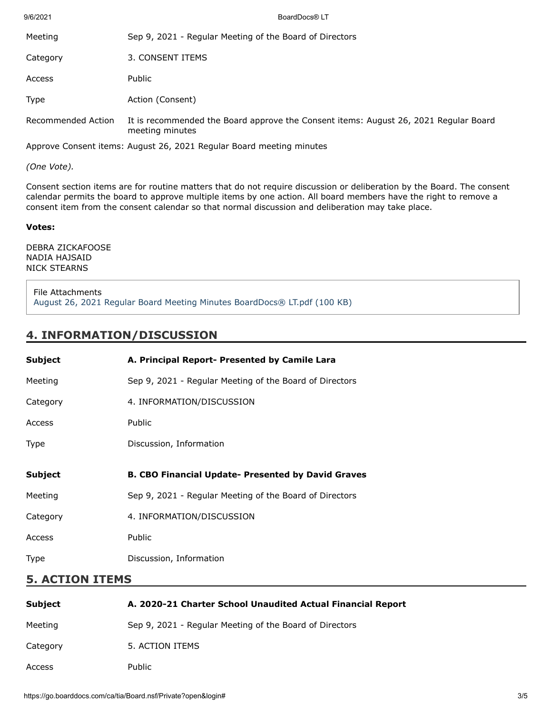| 9/6/2021           | BoardDocs® LT                                                                                           |
|--------------------|---------------------------------------------------------------------------------------------------------|
| Meeting            | Sep 9, 2021 - Regular Meeting of the Board of Directors                                                 |
| Category           | 3. CONSENT ITEMS                                                                                        |
| Access             | Public                                                                                                  |
| Type               | Action (Consent)                                                                                        |
| Recommended Action | It is recommended the Board approve the Consent items: August 26, 2021 Regular Board<br>meeting minutes |
|                    | Application Concert House, Allenst 36, 3031 Beauton Beaud procedure policities                          |

Approve Consent items: August 26, 2021 Regular Board meeting minutes

*(One Vote).*

Consent section items are for routine matters that do not require discussion or deliberation by the Board. The consent calendar permits the board to approve multiple items by one action. All board members have the right to remove a consent item from the consent calendar so that normal discussion and deliberation may take place.

#### **Votes:**

DEBRA ZICKAFOOSE NADIA HAJSAID NICK STEARNS

File Attachments [August 26, 2021 Regular Board Meeting Minutes BoardDocs® LT.pdf \(100 KB\)](https://go.boarddocs.com/ca/tia/Board.nsf/files/C6LST974311A/$file/August%2026%2C%202021%20Regular%20Board%20Meeting%20Minutes%20BoardDocs%C2%AE%20LT.pdf)

## **4. INFORMATION/DISCUSSION**

| <b>Subject</b>     | A. Principal Report- Presented by Camile Lara             |
|--------------------|-----------------------------------------------------------|
| Meeting            | Sep 9, 2021 - Regular Meeting of the Board of Directors   |
| Category           | 4. INFORMATION/DISCUSSION                                 |
| Access             | Public                                                    |
| <b>Type</b>        | Discussion, Information                                   |
|                    |                                                           |
| Subject            | <b>B. CBO Financial Update- Presented by David Graves</b> |
| Meeting            | Sep 9, 2021 - Regular Meeting of the Board of Directors   |
| Category           | 4. INFORMATION/DISCUSSION                                 |
| Access             | Public                                                    |
| Type               | Discussion, Information                                   |
| Е.<br>ACTION ITEMS |                                                           |

### **5. ACTION ITEMS**

| Subject  | A. 2020-21 Charter School Unaudited Actual Financial Report |
|----------|-------------------------------------------------------------|
| Meeting  | Sep 9, 2021 - Regular Meeting of the Board of Directors     |
| Category | 5. ACTION ITEMS                                             |
| Access   | <b>Public</b>                                               |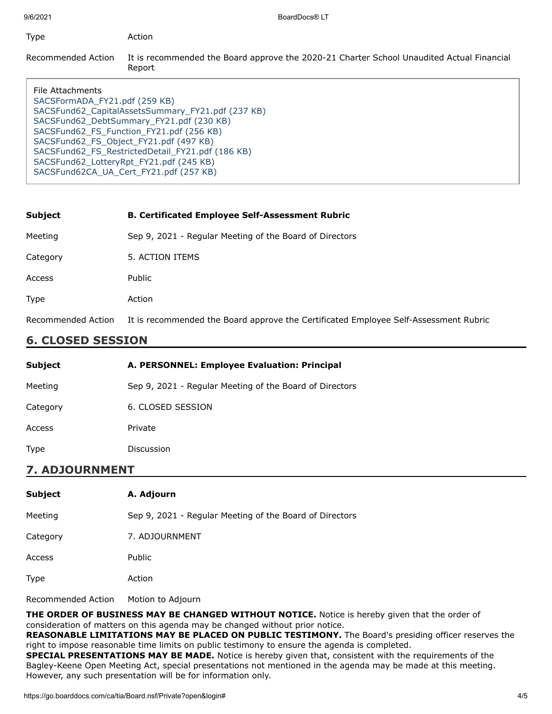| Type                                              | Action                                                                                              |
|---------------------------------------------------|-----------------------------------------------------------------------------------------------------|
| Recommended Action                                | It is recommended the Board approve the 2020-21 Charter School Unaudited Actual Financial<br>Report |
| File Attachments<br>SACSFormADA_FY21.pdf (259 KB) | SACSFund62_CapitalAssetsSummary_FY21.pdf (237 KB)                                                   |
|                                                   | SACSEUP (230 KB) DahtSummary EV <sub>21</sub> ndf (230 KB)                                          |

SFund62\_DebtSummary\_FY21.pdf (230 KB) [SACSFund62\\_FS\\_Function\\_FY21.pdf \(256 KB\)](https://go.boarddocs.com/ca/tia/Board.nsf/files/C6LSWD749F07/$file/SACSFund62_FS_Function_FY21.pdf) [SACSFund62\\_FS\\_Object\\_FY21.pdf \(497 KB\)](https://go.boarddocs.com/ca/tia/Board.nsf/files/C6LSWF749F4F/$file/SACSFund62_FS_Object_FY21.pdf) [SACSFund62\\_FS\\_RestrictedDetail\\_FY21.pdf \(186 KB\)](https://go.boarddocs.com/ca/tia/Board.nsf/files/C6LSWH749F69/$file/SACSFund62_FS_RestrictedDetail_FY21.pdf) [SACSFund62\\_LotteryRpt\\_FY21.pdf \(245 KB\)](https://go.boarddocs.com/ca/tia/Board.nsf/files/C6LSWK749F85/$file/SACSFund62_LotteryRpt_FY21.pdf) [SACSFund62CA\\_UA\\_Cert\\_FY21.pdf \(257 KB\)](https://go.boarddocs.com/ca/tia/Board.nsf/files/C6LSWM749FA1/$file/SACSFund62CA_UA_Cert_FY21.pdf)

| <b>Subject</b>     | <b>B. Certificated Employee Self-Assessment Rubric</b>                               |
|--------------------|--------------------------------------------------------------------------------------|
| Meeting            | Sep 9, 2021 - Regular Meeting of the Board of Directors                              |
| Category           | 5. ACTION ITEMS                                                                      |
| Access             | Public                                                                               |
| <b>Type</b>        | Action                                                                               |
| Recommended Action | It is recommended the Board approve the Certificated Employee Self-Assessment Rubric |

# **6. CLOSED SESSION**

| <b>Subject</b> | A. PERSONNEL: Employee Evaluation: Principal            |
|----------------|---------------------------------------------------------|
| Meeting        | Sep 9, 2021 - Regular Meeting of the Board of Directors |
| Category       | 6. CLOSED SESSION                                       |
| Access         | Private                                                 |
| <b>Type</b>    | <b>Discussion</b>                                       |

## **7. ADJOURNMENT**

| <b>Subject</b> | A. Adjourn                                              |
|----------------|---------------------------------------------------------|
| Meeting        | Sep 9, 2021 - Regular Meeting of the Board of Directors |
| Category       | 7. ADJOURNMENT                                          |
| Access         | Public                                                  |
| <b>Type</b>    | Action                                                  |
|                |                                                         |

Recommended Action Motion to Adjourn

**THE ORDER OF BUSINESS MAY BE CHANGED WITHOUT NOTICE.** Notice is hereby given that the order of consideration of matters on this agenda may be changed without prior notice.

**REASONABLE LIMITATIONS MAY BE PLACED ON PUBLIC TESTIMONY.** The Board's presiding officer reserves the right to impose reasonable time limits on public testimony to ensure the agenda is completed.

**SPECIAL PRESENTATIONS MAY BE MADE.** Notice is hereby given that, consistent with the requirements of the Bagley-Keene Open Meeting Act, special presentations not mentioned in the agenda may be made at this meeting. However, any such presentation will be for information only.